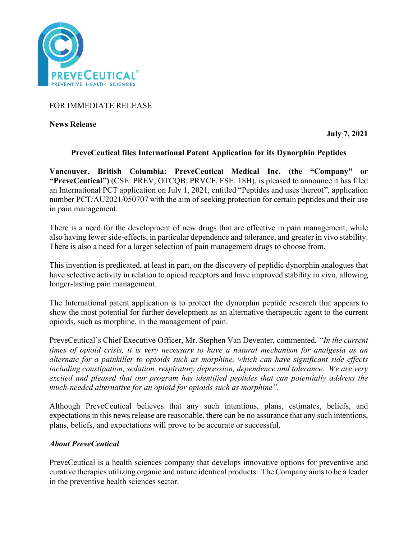

FOR IMMEDIATE RELEASE

**News Release** 

**July 7, 2021**

# **PreveCeutical files International Patent Application for its Dynorphin Peptides**

**Vancouver, British Columbia: PreveCeutical Medical Inc. (the "Company" or "PreveCeutical")** (CSE: PREV, OTCQB: PRVCF, FSE: 18H), is pleased to announce it has filed an International PCT application on July 1, 2021, entitled "Peptides and uses thereof", application number PCT/AU2021/050707 with the aim of seeking protection for certain peptides and their use in pain management.

There is a need for the development of new drugs that are effective in pain management, while also having fewer side-effects, in particular dependence and tolerance, and greater in vivo stability. There is also a need for a larger selection of pain management drugs to choose from.

This invention is predicated, at least in part, on the discovery of peptidic dynorphin analogues that have selective activity in relation to opioid receptors and have improved stability in vivo, allowing longer-lasting pain management.

The International patent application is to protect the dynorphin peptide research that appears to show the most potential for further development as an alternative therapeutic agent to the current opioids, such as morphine, in the management of pain.

PreveCeutical's Chief Executive Officer, Mr. Stephen Van Deventer, commented, *"In the current times of opioid crisis, it is very necessary to have a natural mechanism for analgesia as an alternate for a painkiller to opioids such as morphine, which can have significant side effects including constipation, sedation, respiratory depression, dependence and tolerance. We are very excited and pleased that our program has identified peptides that can potentially address the much-needed alternative for an opioid for opioids such as morphine".*

Although PreveCeutical believes that any such intentions, plans, estimates, beliefs, and expectations in this news release are reasonable, there can be no assurance that any such intentions, plans, beliefs, and expectations will prove to be accurate or successful.

# *About PreveCeutical*

PreveCeutical is a health sciences company that develops innovative options for preventive and curative therapies utilizing organic and nature identical products. The Company aims to be a leader in the preventive health sciences sector.